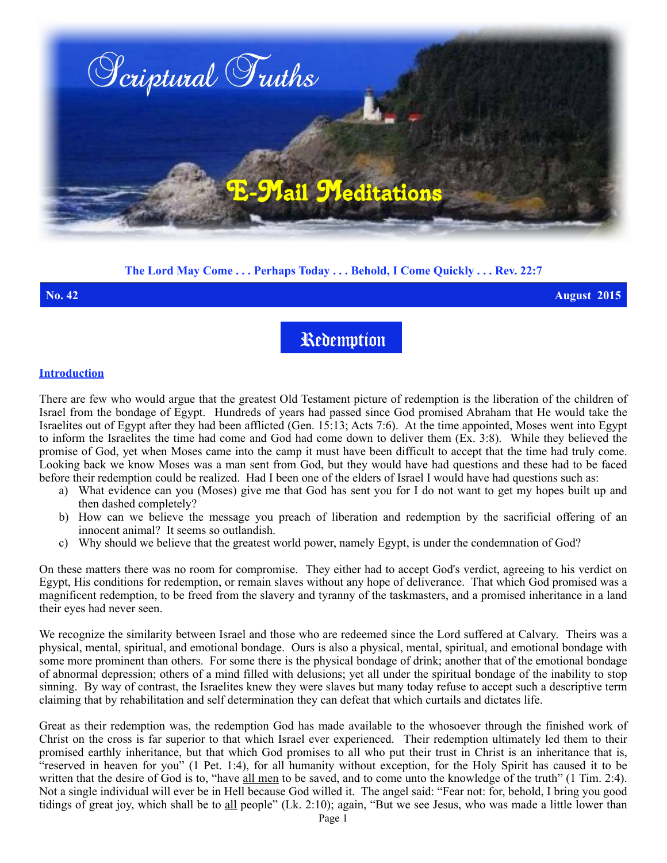

# **The Lord May Come . . . Perhaps Today . . . Behold, I Come Quickly . . . Rev. 22:7**

**No. 42 August 2015**

Redemption

#### **Introduction**

There are few who would argue that the greatest Old Testament picture of redemption is the liberation of the children of Israel from the bondage of Egypt. Hundreds of years had passed since God promised Abraham that He would take the Israelites out of Egypt after they had been afflicted (Gen. 15:13; Acts 7:6). At the time appointed, Moses went into Egypt to inform the Israelites the time had come and God had come down to deliver them (Ex. 3:8). While they believed the promise of God, yet when Moses came into the camp it must have been difficult to accept that the time had truly come. Looking back we know Moses was a man sent from God, but they would have had questions and these had to be faced before their redemption could be realized. Had I been one of the elders of Israel I would have had questions such as:

- a) What evidence can you (Moses) give me that God has sent you for I do not want to get my hopes built up and then dashed completely?
- b) How can we believe the message you preach of liberation and redemption by the sacrificial offering of an innocent animal? It seems so outlandish.
- c) Why should we believe that the greatest world power, namely Egypt, is under the condemnation of God?

On these matters there was no room for compromise. They either had to accept God's verdict, agreeing to his verdict on Egypt, His conditions for redemption, or remain slaves without any hope of deliverance. That which God promised was a magnificent redemption, to be freed from the slavery and tyranny of the taskmasters, and a promised inheritance in a land their eyes had never seen.

We recognize the similarity between Israel and those who are redeemed since the Lord suffered at Calvary. Theirs was a physical, mental, spiritual, and emotional bondage. Ours is also a physical, mental, spiritual, and emotional bondage with some more prominent than others. For some there is the physical bondage of drink; another that of the emotional bondage of abnormal depression; others of a mind filled with delusions; yet all under the spiritual bondage of the inability to stop sinning. By way of contrast, the Israelites knew they were slaves but many today refuse to accept such a descriptive term claiming that by rehabilitation and self determination they can defeat that which curtails and dictates life.

Great as their redemption was, the redemption God has made available to the whosoever through the finished work of Christ on the cross is far superior to that which Israel ever experienced. Their redemption ultimately led them to their promised earthly inheritance, but that which God promises to all who put their trust in Christ is an inheritance that is, "reserved in heaven for you" (1 Pet. 1:4), for all humanity without exception, for the Holy Spirit has caused it to be written that the desire of God is to, "have all men to be saved, and to come unto the knowledge of the truth" (1 Tim. 2:4). Not a single individual will ever be in Hell because God willed it. The angel said: "Fear not: for, behold, I bring you good tidings of great joy, which shall be to all people" (Lk. 2:10); again, "But we see Jesus, who was made a little lower than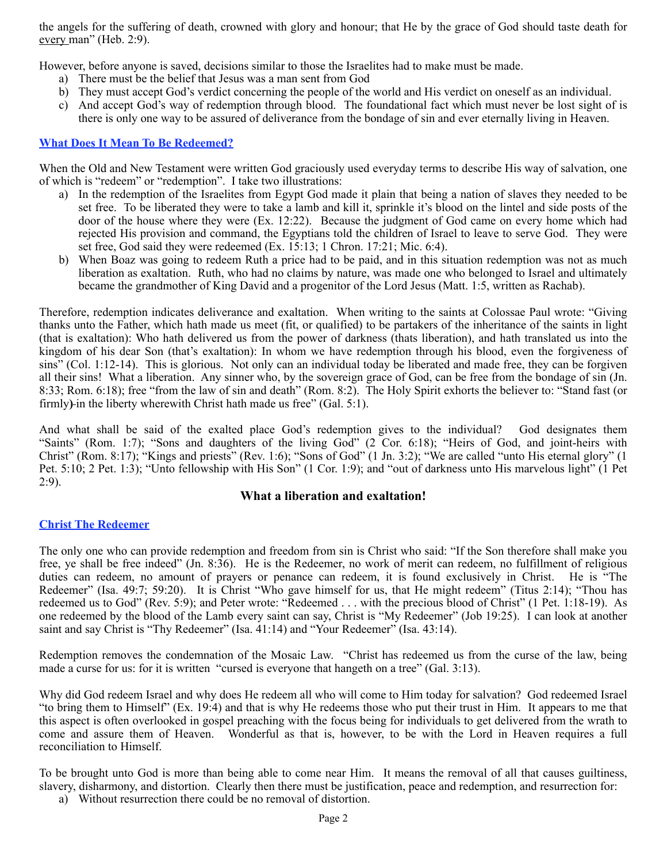the angels for the suffering of death, crowned with glory and honour; that He by the grace of God should taste death for every man" (Heb. 2:9).

However, before anyone is saved, decisions similar to those the Israelites had to make must be made.

- a) There must be the belief that Jesus was a man sent from God
- b) They must accept God's verdict concerning the people of the world and His verdict on oneself as an individual.
- c) And accept God's way of redemption through blood. The foundational fact which must never be lost sight of is there is only one way to be assured of deliverance from the bondage of sin and ever eternally living in Heaven.

### **What Does It Mean To Be Redeemed?**

When the Old and New Testament were written God graciously used everyday terms to describe His way of salvation, one of which is "redeem" or "redemption". I take two illustrations:

- a) In the redemption of the Israelites from Egypt God made it plain that being a nation of slaves they needed to be set free. To be liberated they were to take a lamb and kill it, sprinkle it's blood on the lintel and side posts of the door of the house where they were (Ex. 12:22). Because the judgment of God came on every home which had rejected His provision and command, the Egyptians told the children of Israel to leave to serve God. They were set free, God said they were redeemed (Ex. 15:13; 1 Chron. 17:21; Mic. 6:4).
- b) When Boaz was going to redeem Ruth a price had to be paid, and in this situation redemption was not as much liberation as exaltation. Ruth, who had no claims by nature, was made one who belonged to Israel and ultimately became the grandmother of King David and a progenitor of the Lord Jesus (Matt. 1:5, written as Rachab).

Therefore, redemption indicates deliverance and exaltation. When writing to the saints at Colossae Paul wrote: "Giving thanks unto the Father, which hath made us meet (fit, or qualified) to be partakers of the inheritance of the saints in light (that is exaltation): Who hath delivered us from the power of darkness (thats liberation), and hath translated us into the kingdom of his dear Son (that's exaltation): In whom we have redemption through his blood, even the forgiveness of sins" (Col. 1:12-14). This is glorious. Not only can an individual today be liberated and made free, they can be forgiven all their sins! What a liberation. Any sinner who, by the sovereign grace of God, can be free from the bondage of sin (Jn. 8:33; Rom. 6:18); free "from the law of sin and death" (Rom. 8:2). The Holy Spirit exhorts the believer to: "Stand fast (or firmly**)** in the liberty wherewith Christ hath made us free" (Gal. 5:1).

And what shall be said of the exalted place God's redemption gives to the individual? God designates them "Saints" (Rom. 1:7); "Sons and daughters of the living God" (2 Cor. 6:18); "Heirs of God, and joint-heirs with Christ" (Rom. 8:17); "Kings and priests" (Rev. 1:6); "Sons of God" (1 Jn. 3:2); "We are called "unto His eternal glory" (1 Pet. 5:10; 2 Pet. 1:3); "Unto fellowship with His Son" (1 Cor. 1:9); and "out of darkness unto His marvelous light" (1 Pet 2:9).

## **What a liberation and exaltation!**

## **Christ The Redeemer**

The only one who can provide redemption and freedom from sin is Christ who said: "If the Son therefore shall make you free, ye shall be free indeed" (Jn. 8:36). He is the Redeemer, no work of merit can redeem, no fulfillment of religious duties can redeem, no amount of prayers or penance can redeem, it is found exclusively in Christ. He is "The Redeemer" (Isa. 49:7; 59:20). It is Christ "Who gave himself for us, that He might redeem" (Titus 2:14); "Thou has redeemed us to God" (Rev. 5:9); and Peter wrote: "Redeemed . . . with the precious blood of Christ" (1 Pet. 1:18-19). As one redeemed by the blood of the Lamb every saint can say, Christ is "My Redeemer" (Job 19:25). I can look at another saint and say Christ is "Thy Redeemer" (Isa. 41:14) and "Your Redeemer" (Isa. 43:14).

Redemption removes the condemnation of the Mosaic Law. "Christ has redeemed us from the curse of the law, being made a curse for us: for it is written "cursed is everyone that hangeth on a tree" (Gal. 3:13).

Why did God redeem Israel and why does He redeem all who will come to Him today for salvation? God redeemed Israel "to bring them to Himself" (Ex. 19:4) and that is why He redeems those who put their trust in Him. It appears to me that this aspect is often overlooked in gospel preaching with the focus being for individuals to get delivered from the wrath to come and assure them of Heaven. Wonderful as that is, however, to be with the Lord in Heaven requires a full reconciliation to Himself.

To be brought unto God is more than being able to come near Him. It means the removal of all that causes guiltiness, slavery, disharmony, and distortion. Clearly then there must be justification, peace and redemption, and resurrection for:

a) Without resurrection there could be no removal of distortion.